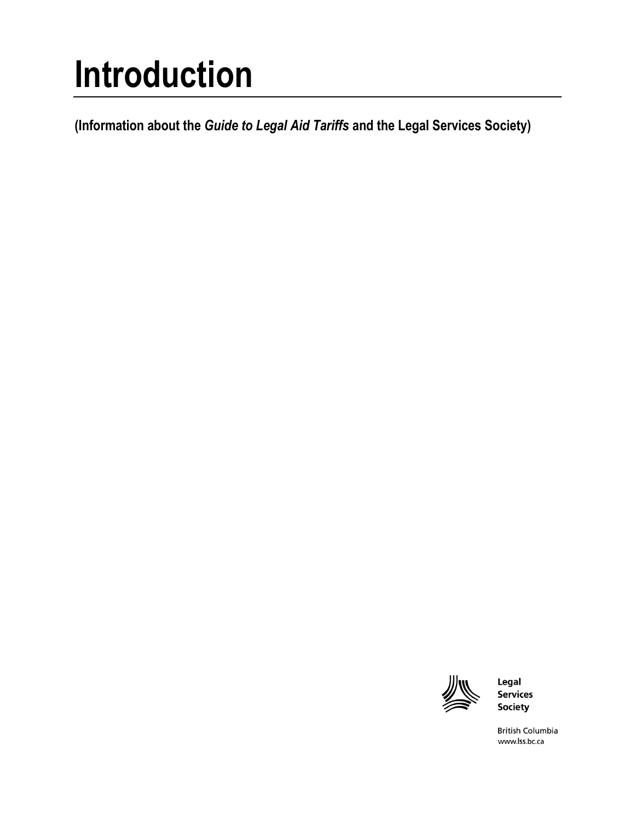# **Introduction**

**(Information about the** *Guide to Legal Aid Tariffs* **and the Legal Services Society)**



Legal **Services** Society

**British Columbia** www.lss.bc.ca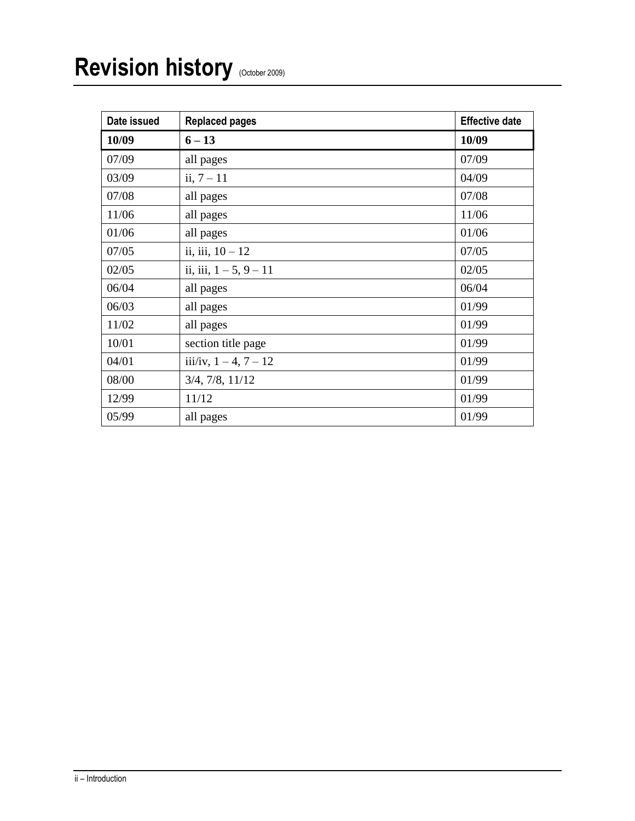| Date issued | <b>Replaced pages</b>       | <b>Effective date</b> |
|-------------|-----------------------------|-----------------------|
| 10/09       | $6 - 13$                    | 10/09                 |
| 07/09       | all pages                   | 07/09                 |
| 03/09       | ii, $7 - 11$                | 04/09                 |
| 07/08       | all pages                   | 07/08                 |
| 11/06       | all pages                   | 11/06                 |
| 01/06       | all pages                   | 01/06                 |
| 07/05       | ii, iii, $10 - 12$          | 07/05                 |
| 02/05       | ii, iii, $1 - 5$ , $9 - 11$ | 02/05                 |
| 06/04       | all pages                   | 06/04                 |
| 06/03       | all pages                   | 01/99                 |
| 11/02       | all pages                   | 01/99                 |
| 10/01       | section title page          | 01/99                 |
| 04/01       | iii/iv, $1 - 4$ , $7 - 12$  | 01/99                 |
| 08/00       | 3/4, 7/8, 11/12             | 01/99                 |
| 12/99       | 11/12                       | 01/99                 |
| 05/99       | all pages                   | 01/99                 |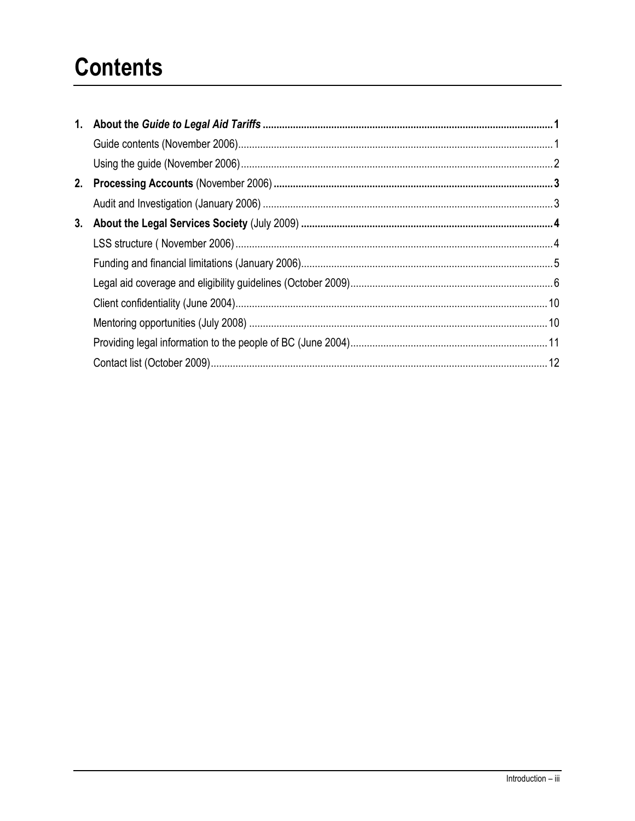# **Contents**

| 3. |  |
|----|--|
|    |  |
|    |  |
|    |  |
|    |  |
|    |  |
|    |  |
|    |  |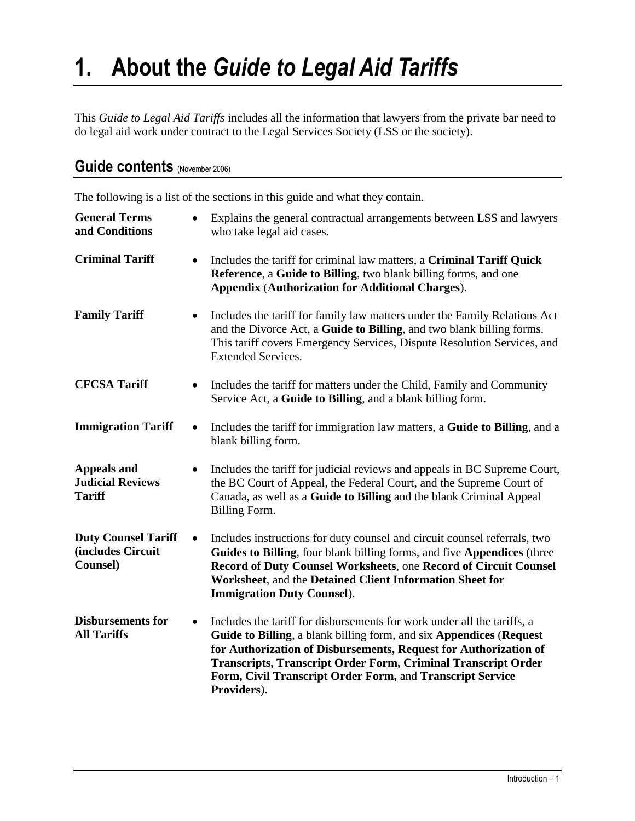# **1. About the** *Guide to Legal Aid Tariffs*

This *Guide to Legal Aid Tariffs* includes all the information that lawyers from the private bar need to do legal aid work under contract to the Legal Services Society (LSS or the society).

| Guide contents (November 2006) |  |  |  |
|--------------------------------|--|--|--|
|--------------------------------|--|--|--|

The following is a list of the sections in this guide and what they contain.

| <b>General Terms</b><br>and Conditions                         | $\bullet$ | Explains the general contractual arrangements between LSS and lawyers<br>who take legal aid cases.                                                                                                                                                                                                                                                                     |
|----------------------------------------------------------------|-----------|------------------------------------------------------------------------------------------------------------------------------------------------------------------------------------------------------------------------------------------------------------------------------------------------------------------------------------------------------------------------|
| <b>Criminal Tariff</b>                                         | $\bullet$ | Includes the tariff for criminal law matters, a Criminal Tariff Quick<br>Reference, a Guide to Billing, two blank billing forms, and one<br><b>Appendix (Authorization for Additional Charges).</b>                                                                                                                                                                    |
| <b>Family Tariff</b>                                           | $\bullet$ | Includes the tariff for family law matters under the Family Relations Act<br>and the Divorce Act, a Guide to Billing, and two blank billing forms.<br>This tariff covers Emergency Services, Dispute Resolution Services, and<br><b>Extended Services.</b>                                                                                                             |
| <b>CFCSA Tariff</b>                                            | $\bullet$ | Includes the tariff for matters under the Child, Family and Community<br>Service Act, a Guide to Billing, and a blank billing form.                                                                                                                                                                                                                                    |
| <b>Immigration Tariff</b>                                      | $\bullet$ | Includes the tariff for immigration law matters, a <b>Guide to Billing</b> , and a<br>blank billing form.                                                                                                                                                                                                                                                              |
| <b>Appeals and</b><br><b>Judicial Reviews</b><br><b>Tariff</b> |           | Includes the tariff for judicial reviews and appeals in BC Supreme Court,<br>the BC Court of Appeal, the Federal Court, and the Supreme Court of<br>Canada, as well as a Guide to Billing and the blank Criminal Appeal<br>Billing Form.                                                                                                                               |
| <b>Duty Counsel Tariff</b><br>(includes Circuit<br>Counsel)    | $\bullet$ | Includes instructions for duty counsel and circuit counsel referrals, two<br>Guides to Billing, four blank billing forms, and five Appendices (three<br>Record of Duty Counsel Worksheets, one Record of Circuit Counsel<br>Worksheet, and the Detained Client Information Sheet for<br><b>Immigration Duty Counsel).</b>                                              |
| <b>Disbursements for</b><br><b>All Tariffs</b>                 | $\bullet$ | Includes the tariff for disbursements for work under all the tariffs, a<br>Guide to Billing, a blank billing form, and six Appendices (Request<br>for Authorization of Disbursements, Request for Authorization of<br><b>Transcripts, Transcript Order Form, Criminal Transcript Order</b><br>Form, Civil Transcript Order Form, and Transcript Service<br>Providers). |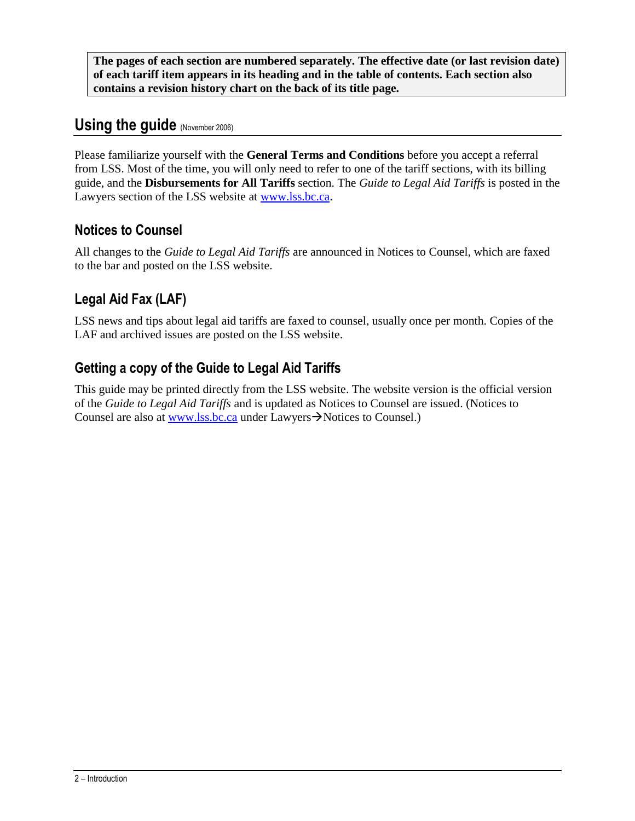**The pages of each section are numbered separately. The effective date (or last revision date) of each tariff item appears in its heading and in the table of contents. Each section also contains a revision history chart on the back of its title page.**

# Using the guide (November 2006)

Please familiarize yourself with the **General Terms and Conditions** before you accept a referral from LSS. Most of the time, you will only need to refer to one of the tariff sections, with its billing guide, and the **Disbursements for All Tariffs** section. The *Guide to Legal Aid Tariffs* is posted in the Lawyers section of the LSS website at [www.lss.bc.ca.](http://www.lss.bc.ca/)

## **Notices to Counsel**

All changes to the *Guide to Legal Aid Tariffs* are announced in Notices to Counsel, which are faxed to the bar and posted on the LSS website.

# **Legal Aid Fax (LAF)**

LSS news and tips about legal aid tariffs are faxed to counsel, usually once per month. Copies of the LAF and archived issues are posted on the LSS website.

# **Getting a copy of the Guide to Legal Aid Tariffs**

This guide may be printed directly from the LSS website. The website version is the official version of the *Guide to Legal Aid Tariffs* and is updated as Notices to Counsel are issued. (Notices to Counsel are also at [www.lss.bc.ca](http://www.lss.bc.ca/) under Lawyers $\rightarrow$ Notices to Counsel.)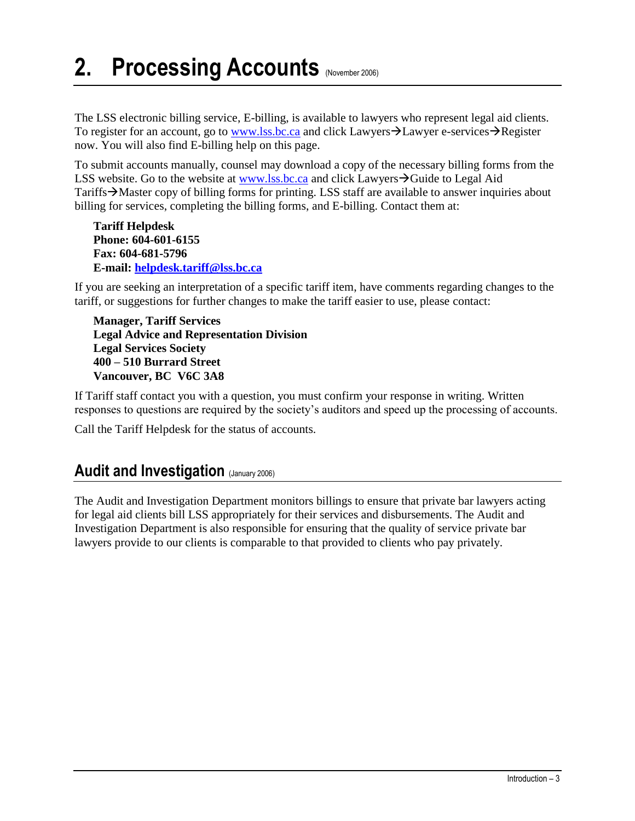# **2. Processing Accounts** (November 2006)

The LSS electronic billing service, E-billing, is available to lawyers who represent legal aid clients. To register for an account, go to [www.lss.bc.ca](http://www.lss.bc.ca/) and click Lawyers  $\rightarrow$  Lawyer e-services  $\rightarrow$  Register now. You will also find E-billing help on this page.

To submit accounts manually, counsel may download a copy of the necessary billing forms from the LSS website. Go to the website at [www.lss.bc.ca](http://www.lss.bc.ca/) and click Lawyers $\rightarrow$ Guide to Legal Aid Tariffs $\rightarrow$ Master copy of billing forms for printing. LSS staff are available to answer inquiries about billing for services, completing the billing forms, and E-billing. Contact them at:

**Tariff Helpdesk Phone: 604-601-6155 Fax: 604-681-5796 E-mail: [helpdesk.tariff@lss.bc.ca](mailto:helpdesk.tariff@lss.bc.ca)**

If you are seeking an interpretation of a specific tariff item, have comments regarding changes to the tariff, or suggestions for further changes to make the tariff easier to use, please contact:

**Manager, Tariff Services Legal Advice and Representation Division Legal Services Society 400 – 510 Burrard Street Vancouver, BC V6C 3A8**

If Tariff staff contact you with a question, you must confirm your response in writing. Written responses to questions are required by the society's auditors and speed up the processing of accounts.

Call the Tariff Helpdesk for the status of accounts.

## **Audit and Investigation (January 2006)**

The Audit and Investigation Department monitors billings to ensure that private bar lawyers acting for legal aid clients bill LSS appropriately for their services and disbursements. The Audit and Investigation Department is also responsible for ensuring that the quality of service private bar lawyers provide to our clients is comparable to that provided to clients who pay privately.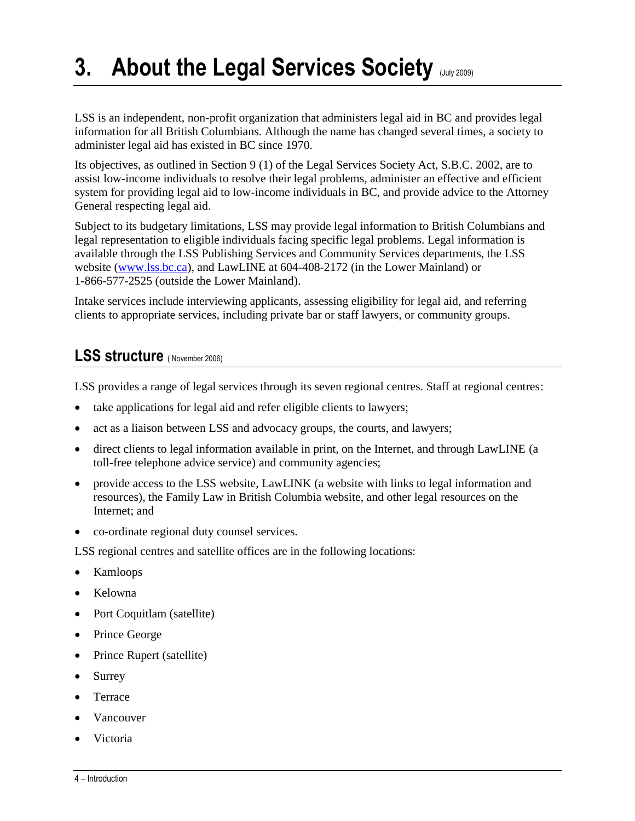# **3. About the Legal Services Society (July 2009)**

LSS is an independent, non-profit organization that administers legal aid in BC and provides legal information for all British Columbians. Although the name has changed several times, a society to administer legal aid has existed in BC since 1970.

Its objectives, as outlined in Section 9 (1) of the Legal Services Society Act, S.B.C. 2002, are to assist low-income individuals to resolve their legal problems, administer an effective and efficient system for providing legal aid to low-income individuals in BC, and provide advice to the Attorney General respecting legal aid.

Subject to its budgetary limitations, LSS may provide legal information to British Columbians and legal representation to eligible individuals facing specific legal problems. Legal information is available through the LSS Publishing Services and Community Services departments, the LSS website [\(www.lss.bc.ca\)](http://www.lss.bc.ca/), and LawLINE at 604-408-2172 (in the Lower Mainland) or 1-866-577-2525 (outside the Lower Mainland).

Intake services include interviewing applicants, assessing eligibility for legal aid, and referring clients to appropriate services, including private bar or staff lawyers, or community groups.

# **LSS structure** ( November 2006)

LSS provides a range of legal services through its seven regional centres. Staff at regional centres:

- take applications for legal aid and refer eligible clients to lawyers;
- act as a liaison between LSS and advocacy groups, the courts, and lawyers;
- direct clients to legal information available in print, on the Internet, and through LawLINE (a toll-free telephone advice service) and community agencies;
- provide access to the LSS website, LawLINK (a website with links to legal information and resources), the Family Law in British Columbia website, and other legal resources on the Internet; and
- co-ordinate regional duty counsel services.

LSS regional centres and satellite offices are in the following locations:

- Kamloops
- Kelowna
- Port Coquitlam (satellite)
- Prince George
- Prince Rupert (satellite)
- Surrey
- Terrace
- Vancouver
- Victoria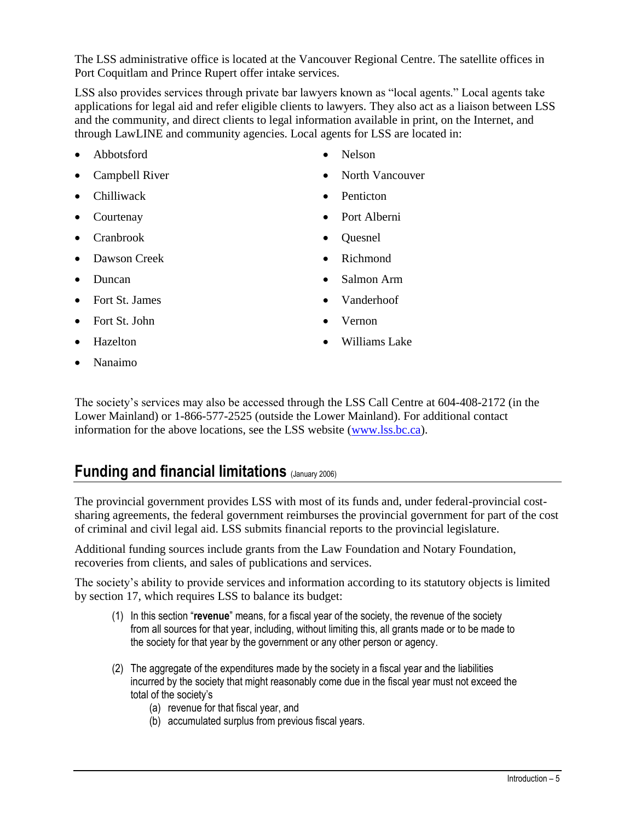The LSS administrative office is located at the Vancouver Regional Centre. The satellite offices in Port Coquitlam and Prince Rupert offer intake services.

LSS also provides services through private bar lawyers known as "local agents." Local agents take applications for legal aid and refer eligible clients to lawyers. They also act as a liaison between LSS and the community, and direct clients to legal information available in print, on the Internet, and through LawLINE and community agencies. Local agents for LSS are located in:

- Abbotsford Nelson
- 
- Chilliwack **Penticton**
- 
- 
- Dawson Creek Richmond
- 
- Fort St. James Vanderhoof
- Fort St. John **vernon**
- 
- Nanaimo

- Campbell River **Campbell River Campbell River Campbell River Campbell River Campbell River Campbell River Campbell River Campbell River Campbell River Campbell River Campbell River Campbell River Ca** 
	-
- Courtenay Port Alberni
- Cranbrook Quesnel
	-
- Duncan <br>
Salmon Arm
	-
	-
- Hazelton **Williams** Lake

The society's services may also be accessed through the LSS Call Centre at 604-408-2172 (in the Lower Mainland) or 1-866-577-2525 (outside the Lower Mainland). For additional contact information for the above locations, see the LSS website [\(www.lss.bc.ca\)](http://www.lss.bc.ca/).

# **Funding and financial limitations** (January 2006)

The provincial government provides LSS with most of its funds and, under federal-provincial costsharing agreements, the federal government reimburses the provincial government for part of the cost of criminal and civil legal aid. LSS submits financial reports to the provincial legislature.

Additional funding sources include grants from the Law Foundation and Notary Foundation, recoveries from clients, and sales of publications and services.

The society's ability to provide services and information according to its statutory objects is limited by section 17, which requires LSS to balance its budget:

- (1) In this section "**revenue**" means, for a fiscal year of the society, the revenue of the society from all sources for that year, including, without limiting this, all grants made or to be made to the society for that year by the government or any other person or agency.
- (2) The aggregate of the expenditures made by the society in a fiscal year and the liabilities incurred by the society that might reasonably come due in the fiscal year must not exceed the total of the society's
	- (a) revenue for that fiscal year, and
	- (b) accumulated surplus from previous fiscal years.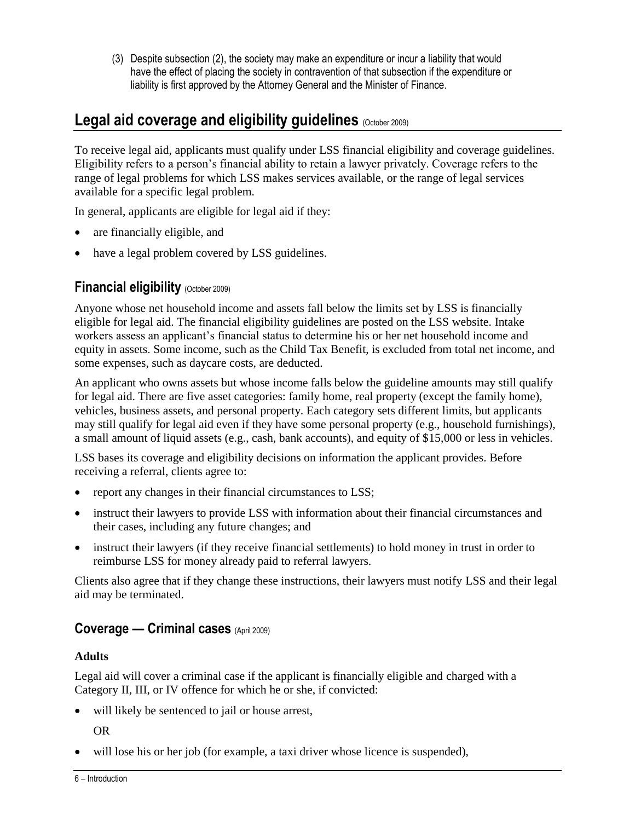(3) Despite subsection (2), the society may make an expenditure or incur a liability that would have the effect of placing the society in contravention of that subsection if the expenditure or liability is first approved by the Attorney General and the Minister of Finance.

# **Legal aid coverage and eligibility quidelines** (October 2009)

To receive legal aid, applicants must qualify under LSS financial eligibility and coverage guidelines. Eligibility refers to a person's financial ability to retain a lawyer privately. Coverage refers to the range of legal problems for which LSS makes services available, or the range of legal services available for a specific legal problem.

In general, applicants are eligible for legal aid if they:

- are financially eligible, and
- have a legal problem covered by LSS guidelines.

#### **Financial eligibility** (October 2009)

Anyone whose net household income and assets fall below the limits set by LSS is financially eligible for legal aid. The financial eligibility guidelines are posted on the LSS website. Intake workers assess an applicant's financial status to determine his or her net household income and equity in assets. Some income, such as the Child Tax Benefit, is excluded from total net income, and some expenses, such as daycare costs, are deducted.

An applicant who owns assets but whose income falls below the guideline amounts may still qualify for legal aid. There are five asset categories: family home, real property (except the family home), vehicles, business assets, and personal property. Each category sets different limits, but applicants may still qualify for legal aid even if they have some personal property (e.g., household furnishings), a small amount of liquid assets (e.g., cash, bank accounts), and equity of \$15,000 or less in vehicles.

LSS bases its coverage and eligibility decisions on information the applicant provides. Before receiving a referral, clients agree to:

- report any changes in their financial circumstances to LSS;
- instruct their lawyers to provide LSS with information about their financial circumstances and their cases, including any future changes; and
- instruct their lawyers (if they receive financial settlements) to hold money in trust in order to reimburse LSS for money already paid to referral lawyers.

Clients also agree that if they change these instructions, their lawyers must notify LSS and their legal aid may be terminated.

#### **Coverage — Criminal cases** (April 2009)

#### **Adults**

Legal aid will cover a criminal case if the applicant is financially eligible and charged with a Category II, III, or IV offence for which he or she, if convicted:

will likely be sentenced to jail or house arrest,

OR

will lose his or her job (for example, a taxi driver whose licence is suspended),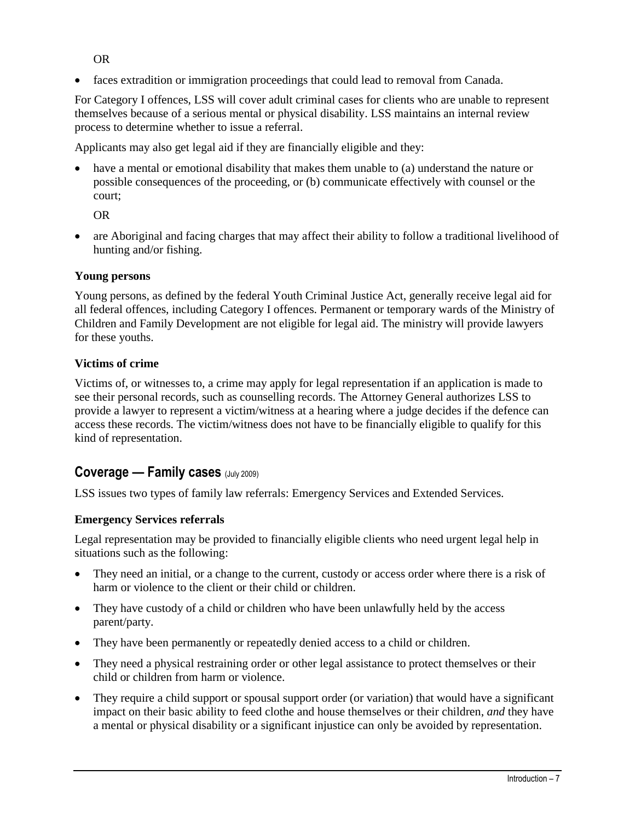OR

faces extradition or immigration proceedings that could lead to removal from Canada.

For Category I offences, LSS will cover adult criminal cases for clients who are unable to represent themselves because of a serious mental or physical disability. LSS maintains an internal review process to determine whether to issue a referral.

Applicants may also get legal aid if they are financially eligible and they:

 have a mental or emotional disability that makes them unable to (a) understand the nature or possible consequences of the proceeding, or (b) communicate effectively with counsel or the court;

OR

 are Aboriginal and facing charges that may affect their ability to follow a traditional livelihood of hunting and/or fishing.

#### **Young persons**

Young persons, as defined by the federal Youth Criminal Justice Act, generally receive legal aid for all federal offences, including Category I offences. Permanent or temporary wards of the Ministry of Children and Family Development are not eligible for legal aid. The ministry will provide lawyers for these youths.

#### **Victims of crime**

Victims of, or witnesses to, a crime may apply for legal representation if an application is made to see their personal records, such as counselling records. The Attorney General authorizes LSS to provide a lawyer to represent a victim/witness at a hearing where a judge decides if the defence can access these records. The victim/witness does not have to be financially eligible to qualify for this kind of representation.

### **Coverage — Family cases** (July 2009)

LSS issues two types of family law referrals: Emergency Services and Extended Services.

#### **Emergency Services referrals**

Legal representation may be provided to financially eligible clients who need urgent legal help in situations such as the following:

- They need an initial, or a change to the current, custody or access order where there is a risk of harm or violence to the client or their child or children.
- They have custody of a child or children who have been unlawfully held by the access parent/party.
- They have been permanently or repeatedly denied access to a child or children.
- They need a physical restraining order or other legal assistance to protect themselves or their child or children from harm or violence.
- They require a child support or spousal support order (or variation) that would have a significant impact on their basic ability to feed clothe and house themselves or their children, *and* they have a mental or physical disability or a significant injustice can only be avoided by representation.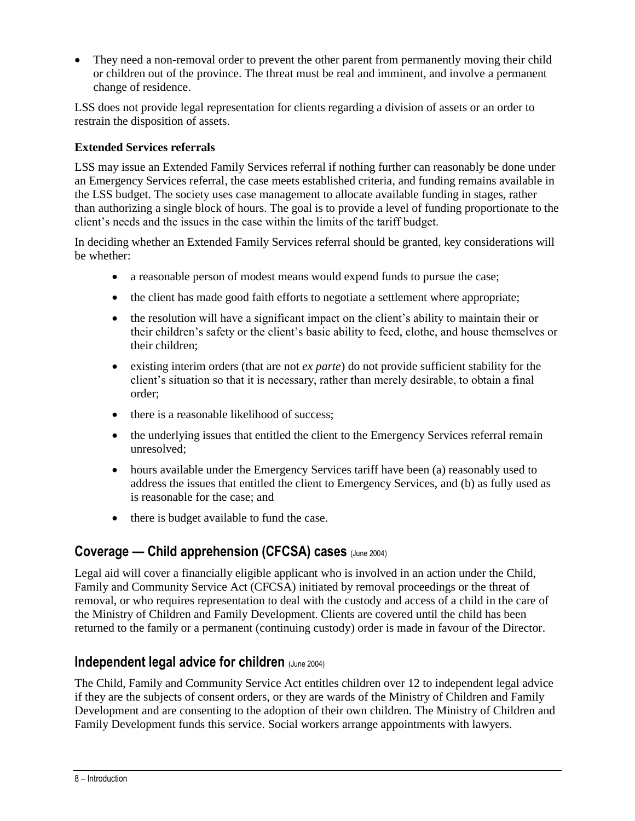• They need a non-removal order to prevent the other parent from permanently moving their child or children out of the province. The threat must be real and imminent, and involve a permanent change of residence.

LSS does not provide legal representation for clients regarding a division of assets or an order to restrain the disposition of assets.

#### **Extended Services referrals**

LSS may issue an Extended Family Services referral if nothing further can reasonably be done under an Emergency Services referral, the case meets established criteria, and funding remains available in the LSS budget. The society uses case management to allocate available funding in stages, rather than authorizing a single block of hours. The goal is to provide a level of funding proportionate to the client's needs and the issues in the case within the limits of the tariff budget.

In deciding whether an Extended Family Services referral should be granted, key considerations will be whether:

- a reasonable person of modest means would expend funds to pursue the case;
- the client has made good faith efforts to negotiate a settlement where appropriate;
- the resolution will have a significant impact on the client's ability to maintain their or their children's safety or the client's basic ability to feed, clothe, and house themselves or their children;
- existing interim orders (that are not *ex parte*) do not provide sufficient stability for the client's situation so that it is necessary, rather than merely desirable, to obtain a final order;
- there is a reasonable likelihood of success:
- the underlying issues that entitled the client to the Emergency Services referral remain unresolved;
- hours available under the Emergency Services tariff have been (a) reasonably used to address the issues that entitled the client to Emergency Services, and (b) as fully used as is reasonable for the case; and
- there is budget available to fund the case.

## **Coverage — Child apprehension (CFCSA) cases** (June 2004)

Legal aid will cover a financially eligible applicant who is involved in an action under the Child, Family and Community Service Act (CFCSA) initiated by removal proceedings or the threat of removal, or who requires representation to deal with the custody and access of a child in the care of the Ministry of Children and Family Development. Clients are covered until the child has been returned to the family or a permanent (continuing custody) order is made in favour of the Director.

### **Independent legal advice for children** (June 2004)

The Child, Family and Community Service Act entitles children over 12 to independent legal advice if they are the subjects of consent orders, or they are wards of the Ministry of Children and Family Development and are consenting to the adoption of their own children. The Ministry of Children and Family Development funds this service. Social workers arrange appointments with lawyers.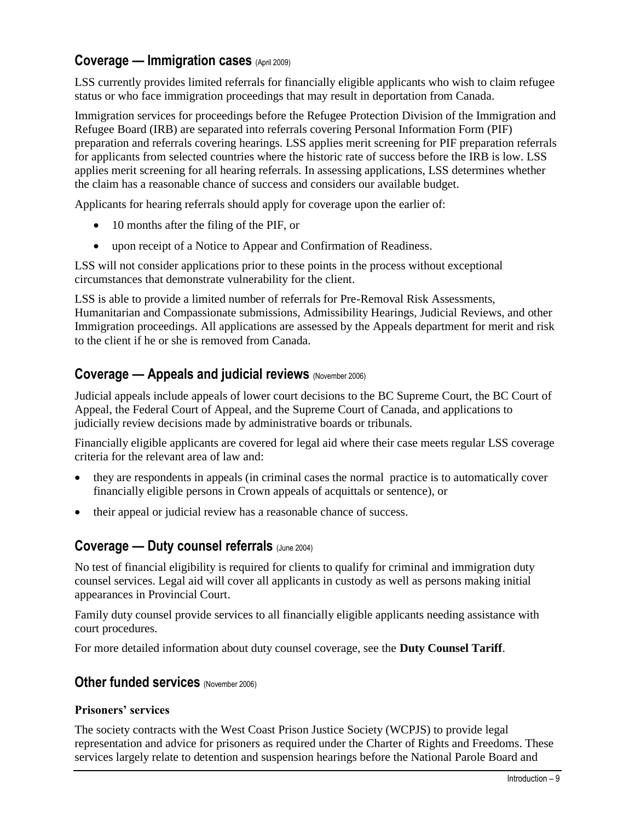#### **Coverage — Immigration cases** (April 2009)

LSS currently provides limited referrals for financially eligible applicants who wish to claim refugee status or who face immigration proceedings that may result in deportation from Canada.

Immigration services for proceedings before the Refugee Protection Division of the Immigration and Refugee Board (IRB) are separated into referrals covering Personal Information Form (PIF) preparation and referrals covering hearings. LSS applies merit screening for PIF preparation referrals for applicants from selected countries where the historic rate of success before the IRB is low. LSS applies merit screening for all hearing referrals. In assessing applications, LSS determines whether the claim has a reasonable chance of success and considers our available budget.

Applicants for hearing referrals should apply for coverage upon the earlier of:

- 10 months after the filing of the PIF, or
- upon receipt of a Notice to Appear and Confirmation of Readiness.

LSS will not consider applications prior to these points in the process without exceptional circumstances that demonstrate vulnerability for the client.

LSS is able to provide a limited number of referrals for Pre-Removal Risk Assessments, Humanitarian and Compassionate submissions, Admissibility Hearings, Judicial Reviews, and other Immigration proceedings. All applications are assessed by the Appeals department for merit and risk to the client if he or she is removed from Canada.

#### **Coverage — Appeals and judicial reviews** (November 2006)

Judicial appeals include appeals of lower court decisions to the BC Supreme Court, the BC Court of Appeal, the Federal Court of Appeal, and the Supreme Court of Canada, and applications to judicially review decisions made by administrative boards or tribunals.

Financially eligible applicants are covered for legal aid where their case meets regular LSS coverage criteria for the relevant area of law and:

- they are respondents in appeals (in criminal cases the normal practice is to automatically cover financially eligible persons in Crown appeals of acquittals or sentence), or
- their appeal or judicial review has a reasonable chance of success.

#### **Coverage — Duty counsel referrals** (June 2004)

No test of financial eligibility is required for clients to qualify for criminal and immigration duty counsel services. Legal aid will cover all applicants in custody as well as persons making initial appearances in Provincial Court.

Family duty counsel provide services to all financially eligible applicants needing assistance with court procedures.

For more detailed information about duty counsel coverage, see the **Duty Counsel Tariff**.

#### **Other funded services** (November 2006)

#### **Prisoners' services**

The society contracts with the West Coast Prison Justice Society (WCPJS) to provide legal representation and advice for prisoners as required under the Charter of Rights and Freedoms. These services largely relate to detention and suspension hearings before the National Parole Board and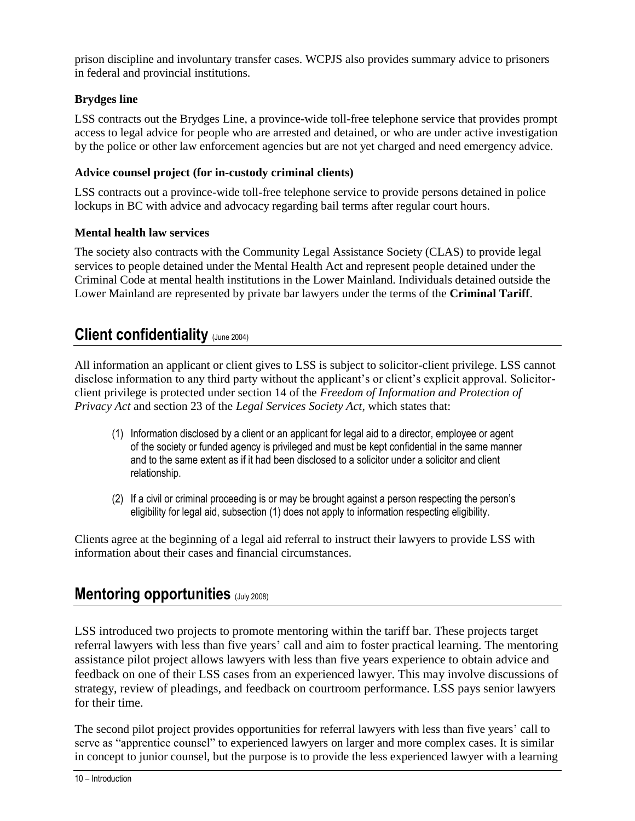prison discipline and involuntary transfer cases. WCPJS also provides summary advice to prisoners in federal and provincial institutions.

#### **Brydges line**

LSS contracts out the Brydges Line, a province-wide toll-free telephone service that provides prompt access to legal advice for people who are arrested and detained, or who are under active investigation by the police or other law enforcement agencies but are not yet charged and need emergency advice.

#### **Advice counsel project (for in-custody criminal clients)**

LSS contracts out a province-wide toll-free telephone service to provide persons detained in police lockups in BC with advice and advocacy regarding bail terms after regular court hours.

#### **Mental health law services**

The society also contracts with the Community Legal Assistance Society (CLAS) to provide legal services to people detained under the Mental Health Act and represent people detained under the Criminal Code at mental health institutions in the Lower Mainland. Individuals detained outside the Lower Mainland are represented by private bar lawyers under the terms of the **Criminal Tariff**.

# **Client confidentiality** (June 2004)

All information an applicant or client gives to LSS is subject to solicitor-client privilege. LSS cannot disclose information to any third party without the applicant's or client's explicit approval. Solicitorclient privilege is protected under section 14 of the *Freedom of Information and Protection of Privacy Act* and section 23 of the *Legal Services Society Act*, which states that:

- (1) Information disclosed by a client or an applicant for legal aid to a director, employee or agent of the society or funded agency is privileged and must be kept confidential in the same manner and to the same extent as if it had been disclosed to a solicitor under a solicitor and client relationship.
- (2) If a civil or criminal proceeding is or may be brought against a person respecting the person's eligibility for legal aid, subsection (1) does not apply to information respecting eligibility.

Clients agree at the beginning of a legal aid referral to instruct their lawyers to provide LSS with information about their cases and financial circumstances.

# **Mentoring opportunities** (July 2008)

LSS introduced two projects to promote mentoring within the tariff bar. These projects target referral lawyers with less than five years' call and aim to foster practical learning. The mentoring assistance pilot project allows lawyers with less than five years experience to obtain advice and feedback on one of their LSS cases from an experienced lawyer. This may involve discussions of strategy, review of pleadings, and feedback on courtroom performance. LSS pays senior lawyers for their time.

The second pilot project provides opportunities for referral lawyers with less than five years' call to serve as "apprentice counsel" to experienced lawyers on larger and more complex cases. It is similar in concept to junior counsel, but the purpose is to provide the less experienced lawyer with a learning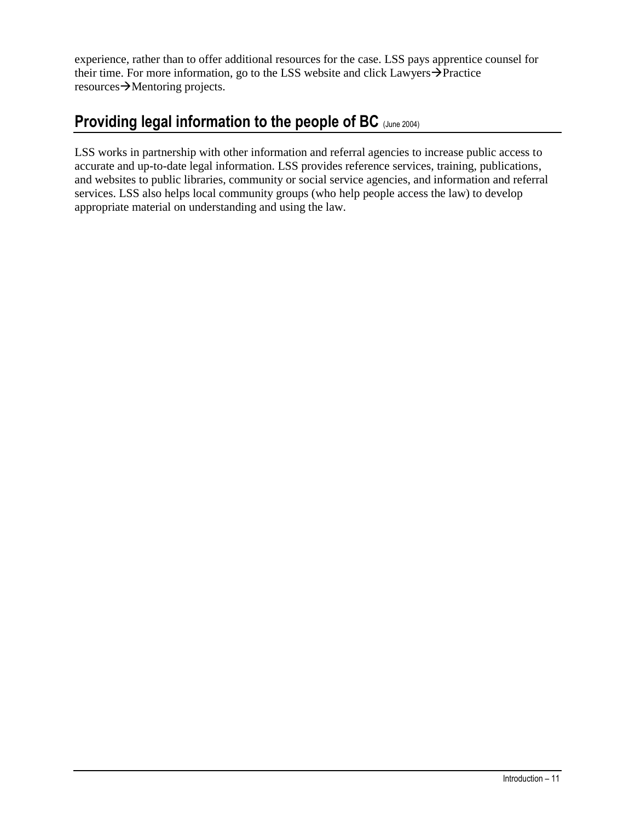experience, rather than to offer additional resources for the case. LSS pays apprentice counsel for their time. For more information, go to the LSS website and click Lawyers $\rightarrow$ Practice  $resources \rightarrow$ Mentoring projects.

# **Providing legal information to the people of BC** (June 2004)

LSS works in partnership with other information and referral agencies to increase public access to accurate and up-to-date legal information. LSS provides reference services, training, publications, and websites to public libraries, community or social service agencies, and information and referral services. LSS also helps local community groups (who help people access the law) to develop appropriate material on understanding and using the law.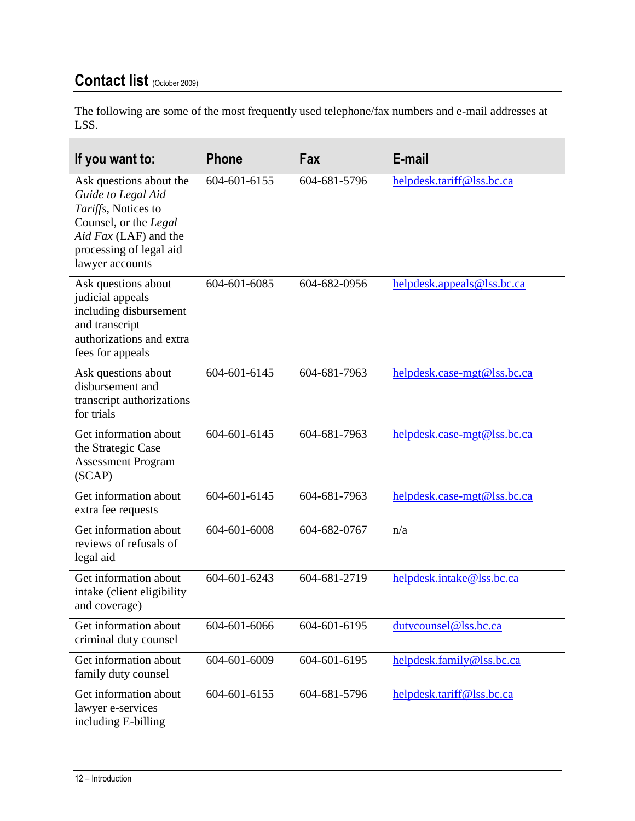# **Contact list** (October 2009)

The following are some of the most frequently used telephone/fax numbers and e-mail addresses at LSS.

| If you want to:                                                                                                                                                      | Phone        | Fax          | E-mail                      |
|----------------------------------------------------------------------------------------------------------------------------------------------------------------------|--------------|--------------|-----------------------------|
| Ask questions about the<br>Guide to Legal Aid<br>Tariffs, Notices to<br>Counsel, or the Legal<br>Aid Fax (LAF) and the<br>processing of legal aid<br>lawyer accounts | 604-601-6155 | 604-681-5796 | helpdesk.tariff@lss.bc.ca   |
| Ask questions about<br>judicial appeals<br>including disbursement<br>and transcript<br>authorizations and extra<br>fees for appeals                                  | 604-601-6085 | 604-682-0956 | helpdesk.appeals@lss.bc.ca  |
| Ask questions about<br>disbursement and<br>transcript authorizations<br>for trials                                                                                   | 604-601-6145 | 604-681-7963 | helpdesk.case-mgt@lss.bc.ca |
| Get information about<br>the Strategic Case<br><b>Assessment Program</b><br>(SCAP)                                                                                   | 604-601-6145 | 604-681-7963 | helpdesk.case-mgt@lss.bc.ca |
| Get information about<br>extra fee requests                                                                                                                          | 604-601-6145 | 604-681-7963 | helpdesk.case-mgt@lss.bc.ca |
| Get information about<br>reviews of refusals of<br>legal aid                                                                                                         | 604-601-6008 | 604-682-0767 | n/a                         |
| Get information about<br>intake (client eligibility<br>and coverage)                                                                                                 | 604-601-6243 | 604-681-2719 | helpdesk.intake@lss.bc.ca   |
| Get information about<br>criminal duty counsel                                                                                                                       | 604-601-6066 | 604-601-6195 | dutycounsel@lss.bc.ca       |
| Get information about<br>family duty counsel                                                                                                                         | 604-601-6009 | 604-601-6195 | helpdesk.family@lss.bc.ca   |
| Get information about<br>lawyer e-services<br>including E-billing                                                                                                    | 604-601-6155 | 604-681-5796 | helpdesk.tariff@lss.bc.ca   |